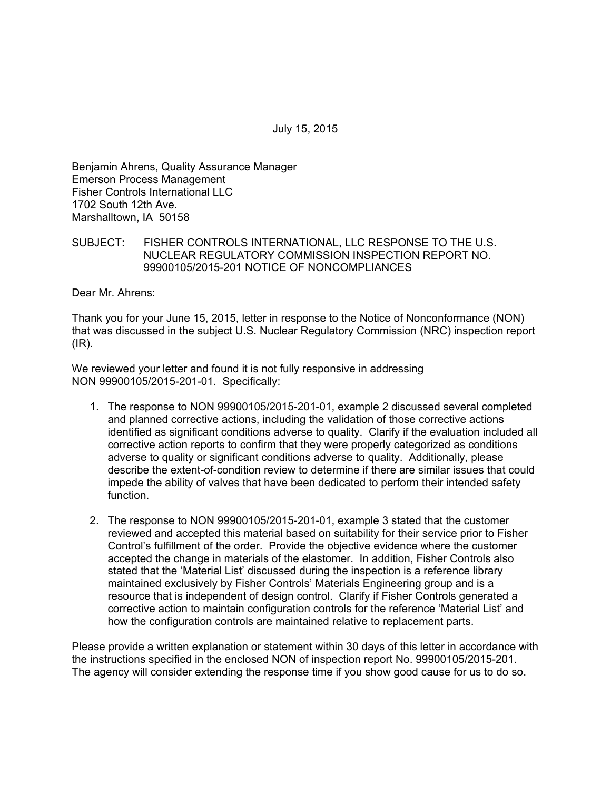July 15, 2015

Benjamin Ahrens, Quality Assurance Manager Emerson Process Management Fisher Controls International LLC 1702 South 12th Ave. Marshalltown, IA 50158

SUBJECT: FISHER CONTROLS INTERNATIONAL, LLC RESPONSE TO THE U.S. NUCLEAR REGULATORY COMMISSION INSPECTION REPORT NO. 99900105/2015-201 NOTICE OF NONCOMPLIANCES

Dear Mr. Ahrens:

Thank you for your June 15, 2015, letter in response to the Notice of Nonconformance (NON) that was discussed in the subject U.S. Nuclear Regulatory Commission (NRC) inspection report  $(IR)$ .

We reviewed your letter and found it is not fully responsive in addressing NON 99900105/2015-201-01. Specifically:

- 1. The response to NON 99900105/2015-201-01, example 2 discussed several completed and planned corrective actions, including the validation of those corrective actions identified as significant conditions adverse to quality. Clarify if the evaluation included all corrective action reports to confirm that they were properly categorized as conditions adverse to quality or significant conditions adverse to quality. Additionally, please describe the extent-of-condition review to determine if there are similar issues that could impede the ability of valves that have been dedicated to perform their intended safety function.
- 2. The response to NON 99900105/2015-201-01, example 3 stated that the customer reviewed and accepted this material based on suitability for their service prior to Fisher Control's fulfillment of the order. Provide the objective evidence where the customer accepted the change in materials of the elastomer. In addition, Fisher Controls also stated that the 'Material List' discussed during the inspection is a reference library maintained exclusively by Fisher Controls' Materials Engineering group and is a resource that is independent of design control. Clarify if Fisher Controls generated a corrective action to maintain configuration controls for the reference 'Material List' and how the configuration controls are maintained relative to replacement parts.

Please provide a written explanation or statement within 30 days of this letter in accordance with the instructions specified in the enclosed NON of inspection report No. 99900105/2015-201. The agency will consider extending the response time if you show good cause for us to do so.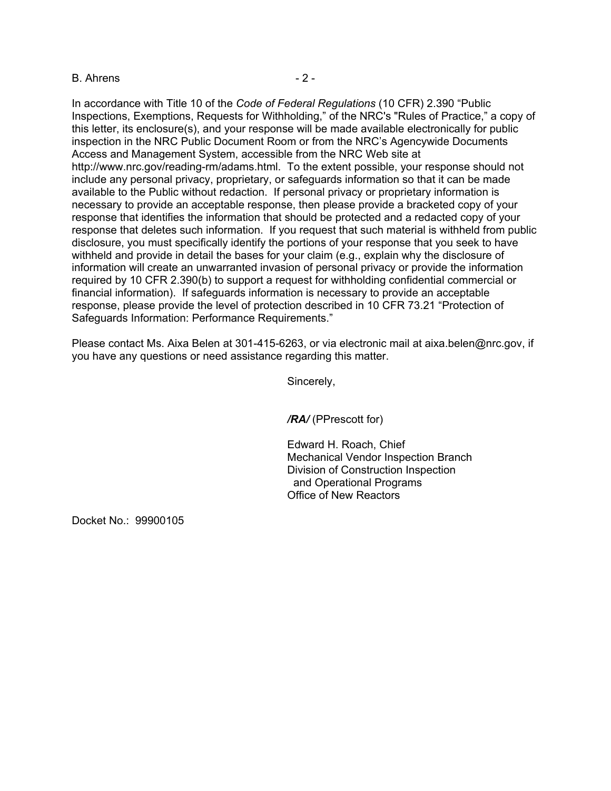# B. Ahrens - 2 -

In accordance with Title 10 of the *Code of Federal Regulations* (10 CFR) 2.390 "Public Inspections, Exemptions, Requests for Withholding," of the NRC's "Rules of Practice," a copy of this letter, its enclosure(s), and your response will be made available electronically for public inspection in the NRC Public Document Room or from the NRC's Agencywide Documents Access and Management System, accessible from the NRC Web site at http://www.nrc.gov/reading-rm/adams.html. To the extent possible, your response should not include any personal privacy, proprietary, or safeguards information so that it can be made available to the Public without redaction. If personal privacy or proprietary information is necessary to provide an acceptable response, then please provide a bracketed copy of your response that identifies the information that should be protected and a redacted copy of your response that deletes such information. If you request that such material is withheld from public disclosure, you must specifically identify the portions of your response that you seek to have withheld and provide in detail the bases for your claim (e.g., explain why the disclosure of information will create an unwarranted invasion of personal privacy or provide the information required by 10 CFR 2.390(b) to support a request for withholding confidential commercial or financial information). If safeguards information is necessary to provide an acceptable response, please provide the level of protection described in 10 CFR 73.21 "Protection of Safeguards Information: Performance Requirements."

Please contact Ms. Aixa Belen at 301-415-6263, or via electronic mail at aixa.belen@nrc.gov, if you have any questions or need assistance regarding this matter.

Sincerely,

*/RA/* (PPrescott for)

Edward H. Roach, Chief Mechanical Vendor Inspection Branch Division of Construction Inspection and Operational Programs Office of New Reactors

Docket No.: 99900105